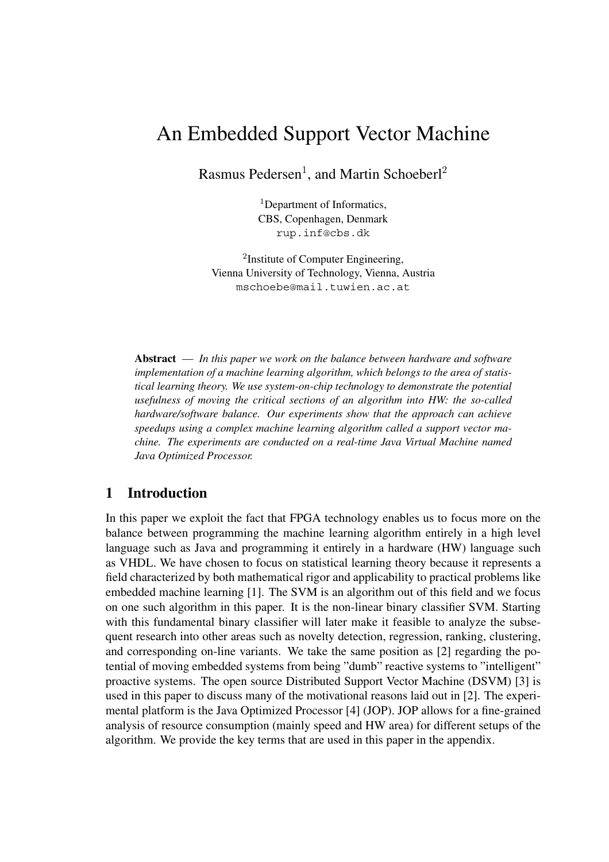# An Embedded Support Vector Machine

Rasmus Pedersen<sup>1</sup>, and Martin Schoeberl<sup>2</sup>

<sup>1</sup>Department of Informatics, CBS, Copenhagen, Denmark rup.inf@cbs.dk

<sup>2</sup>Institute of Computer Engineering, Vienna University of Technology, Vienna, Austria mschoebe@mail.tuwien.ac.at

**Abstract** — *In this paper we work on the balance between hardware and software implementation of a machine learning algorithm, which belongs to the area of statistical learning theory. We use system-on-chip technology to demonstrate the potential usefulness of moving the critical sections of an algorithm into HW: the so-called hardware/software balance. Our experiments show that the approach can achieve speedups using a complex machine learning algorithm called a support vector machine. The experiments are conducted on a real-time Java Virtual Machine named Java Optimized Processor.*

## **1 Introduction**

In this paper we exploit the fact that FPGA technology enables us to focus more on the balance between programming the machine learning algorithm entirely in a high level language such as Java and programming it entirely in a hardware (HW) language such as VHDL. We have chosen to focus on statistical learning theory because it represents a field characterized by both mathematical rigor and applicability to practical problems like embedded machine learning [1]. The SVM is an algorithm out of this field and we focus on one such algorithm in this paper. It is the non-linear binary classifier SVM. Starting with this fundamental binary classifier will later make it feasible to analyze the subsequent research into other areas such as novelty detection, regression, ranking, clustering, and corresponding on-line variants. We take the same position as [2] regarding the potential of moving embedded systems from being "dumb" reactive systems to "intelligent" proactive systems. The open source Distributed Support Vector Machine (DSVM) [3] is used in this paper to discuss many of the motivational reasons laid out in [2]. The experimental platform is the Java Optimized Processor [4] (JOP). JOP allows for a fine-grained analysis of resource consumption (mainly speed and HW area) for different setups of the algorithm. We provide the key terms that are used in this paper in the appendix.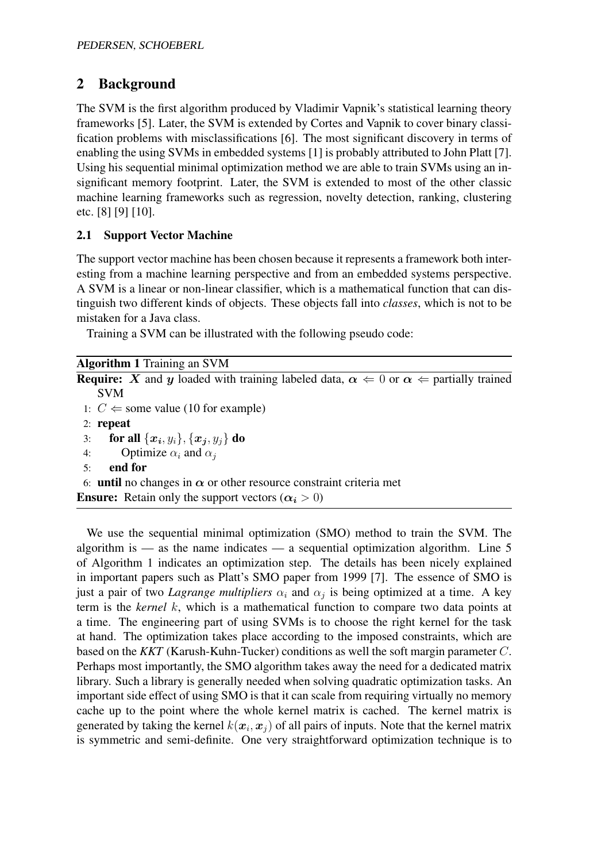## **2 Background**

The SVM is the first algorithm produced by Vladimir Vapnik's statistical learning theory frameworks [5]. Later, the SVM is extended by Cortes and Vapnik to cover binary classification problems with misclassifications [6]. The most significant discovery in terms of enabling the using SVMs in embedded systems [1] is probably attributed to John Platt [7]. Using his sequential minimal optimization method we are able to train SVMs using an insignificant memory footprint. Later, the SVM is extended to most of the other classic machine learning frameworks such as regression, novelty detection, ranking, clustering etc. [8] [9] [10].

## **2.1 Support Vector Machine**

The support vector machine has been chosen because it represents a framework both interesting from a machine learning perspective and from an embedded systems perspective. A SVM is a linear or non-linear classifier, which is a mathematical function that can distinguish two different kinds of objects. These objects fall into *classes*, which is not to be mistaken for a Java class.

Training a SVM can be illustrated with the following pseudo code:

| <b>Algorithm 1 Training an SVM</b>                                                                                        |
|---------------------------------------------------------------------------------------------------------------------------|
| <b>Require:</b> X and y loaded with training labeled data, $\alpha \Leftarrow 0$ or $\alpha \Leftarrow$ partially trained |
| <b>SVM</b>                                                                                                                |
| 1: $C \Leftarrow$ some value (10 for example)                                                                             |
| $2:$ repeat                                                                                                               |
| <b>for all</b> $\{x_i, y_i\}, \{x_j, y_j\}$ do<br>3:                                                                      |
| Optimize $\alpha_i$ and $\alpha_i$<br>4:                                                                                  |
| end for<br>5:                                                                                                             |
| 6: <b>until</b> no changes in $\alpha$ or other resource constraint criteria met                                          |
| <b>Ensure:</b> Retain only the support vectors $(\alpha_i > 0)$                                                           |
|                                                                                                                           |

We use the sequential minimal optimization (SMO) method to train the SVM. The algorithm is — as the name indicates — a sequential optimization algorithm. Line  $5$ of Algorithm 1 indicates an optimization step. The details has been nicely explained in important papers such as Platt's SMO paper from 1999 [7]. The essence of SMO is just a pair of two *Lagrange multipliers*  $\alpha_i$  and  $\alpha_j$  is being optimized at a time. A key term is the *kernel* k, which is a mathematical function to compare two data points at a time. The engineering part of using SVMs is to choose the right kernel for the task at hand. The optimization takes place according to the imposed constraints, which are based on the *KKT* (Karush-Kuhn-Tucker) conditions as well the soft margin parameter C. Perhaps most importantly, the SMO algorithm takes away the need for a dedicated matrix library. Such a library is generally needed when solving quadratic optimization tasks. An important side effect of using SMO is that it can scale from requiring virtually no memory cache up to the point where the whole kernel matrix is cached. The kernel matrix is generated by taking the kernel  $k(x_i, x_j)$  of all pairs of inputs. Note that the kernel matrix is symmetric and semi-definite. One very straightforward optimization technique is to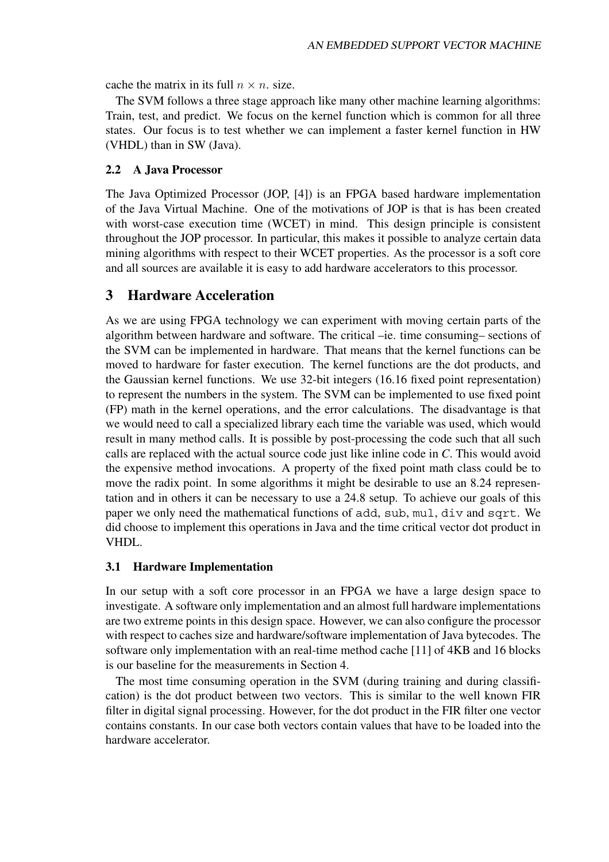cache the matrix in its full  $n \times n$ . size.

The SVM follows a three stage approach like many other machine learning algorithms: Train, test, and predict. We focus on the kernel function which is common for all three states. Our focus is to test whether we can implement a faster kernel function in HW (VHDL) than in SW (Java).

#### **2.2 A Java Processor**

The Java Optimized Processor (JOP, [4]) is an FPGA based hardware implementation of the Java Virtual Machine. One of the motivations of JOP is that is has been created with worst-case execution time (WCET) in mind. This design principle is consistent throughout the JOP processor. In particular, this makes it possible to analyze certain data mining algorithms with respect to their WCET properties. As the processor is a soft core and all sources are available it is easy to add hardware accelerators to this processor.

## **3 Hardware Acceleration**

As we are using FPGA technology we can experiment with moving certain parts of the algorithm between hardware and software. The critical –ie. time consuming– sections of the SVM can be implemented in hardware. That means that the kernel functions can be moved to hardware for faster execution. The kernel functions are the dot products, and the Gaussian kernel functions. We use 32-bit integers (16.16 fixed point representation) to represent the numbers in the system. The SVM can be implemented to use fixed point (FP) math in the kernel operations, and the error calculations. The disadvantage is that we would need to call a specialized library each time the variable was used, which would result in many method calls. It is possible by post-processing the code such that all such calls are replaced with the actual source code just like inline code in *C*. This would avoid the expensive method invocations. A property of the fixed point math class could be to move the radix point. In some algorithms it might be desirable to use an 8.24 representation and in others it can be necessary to use a 24.8 setup. To achieve our goals of this paper we only need the mathematical functions of add, sub, mul, div and sqrt. We did choose to implement this operations in Java and the time critical vector dot product in VHDL.

#### **3.1 Hardware Implementation**

In our setup with a soft core processor in an FPGA we have a large design space to investigate. A software only implementation and an almost full hardware implementations are two extreme points in this design space. However, we can also configure the processor with respect to caches size and hardware/software implementation of Java bytecodes. The software only implementation with an real-time method cache [11] of 4KB and 16 blocks is our baseline for the measurements in Section 4.

The most time consuming operation in the SVM (during training and during classification) is the dot product between two vectors. This is similar to the well known FIR filter in digital signal processing. However, for the dot product in the FIR filter one vector contains constants. In our case both vectors contain values that have to be loaded into the hardware accelerator.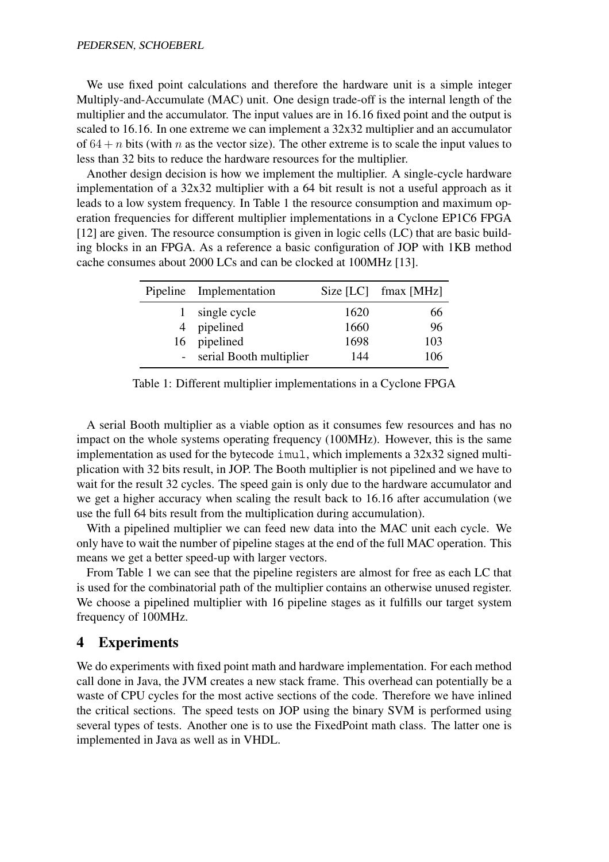We use fixed point calculations and therefore the hardware unit is a simple integer Multiply-and-Accumulate (MAC) unit. One design trade-off is the internal length of the multiplier and the accumulator. The input values are in 16.16 fixed point and the output is scaled to 16.16. In one extreme we can implement a 32x32 multiplier and an accumulator of  $64 + n$  bits (with n as the vector size). The other extreme is to scale the input values to less than 32 bits to reduce the hardware resources for the multiplier.

Another design decision is how we implement the multiplier. A single-cycle hardware implementation of a 32x32 multiplier with a 64 bit result is not a useful approach as it leads to a low system frequency. In Table 1 the resource consumption and maximum operation frequencies for different multiplier implementations in a Cyclone EP1C6 FPGA [12] are given. The resource consumption is given in logic cells (LC) that are basic building blocks in an FPGA. As a reference a basic configuration of JOP with 1KB method cache consumes about 2000 LCs and can be clocked at 100MHz [13].

| Pipeline Implementation   |      | Size $[LC]$ fmax $[MHz]$ |
|---------------------------|------|--------------------------|
| single cycle              | 1620 | 66                       |
| 4 pipelined               | 1660 | 96                       |
| 16 pipelined              | 1698 | 103                      |
| - serial Booth multiplier | 144  | 106                      |

Table 1: Different multiplier implementations in a Cyclone FPGA

A serial Booth multiplier as a viable option as it consumes few resources and has no impact on the whole systems operating frequency (100MHz). However, this is the same implementation as used for the bytecode imul, which implements a 32x32 signed multiplication with 32 bits result, in JOP. The Booth multiplier is not pipelined and we have to wait for the result 32 cycles. The speed gain is only due to the hardware accumulator and we get a higher accuracy when scaling the result back to 16.16 after accumulation (we use the full 64 bits result from the multiplication during accumulation).

With a pipelined multiplier we can feed new data into the MAC unit each cycle. We only have to wait the number of pipeline stages at the end of the full MAC operation. This means we get a better speed-up with larger vectors.

From Table 1 we can see that the pipeline registers are almost for free as each LC that is used for the combinatorial path of the multiplier contains an otherwise unused register. We choose a pipelined multiplier with 16 pipeline stages as it fulfills our target system frequency of 100MHz.

### **4 Experiments**

We do experiments with fixed point math and hardware implementation. For each method call done in Java, the JVM creates a new stack frame. This overhead can potentially be a waste of CPU cycles for the most active sections of the code. Therefore we have inlined the critical sections. The speed tests on JOP using the binary SVM is performed using several types of tests. Another one is to use the FixedPoint math class. The latter one is implemented in Java as well as in VHDL.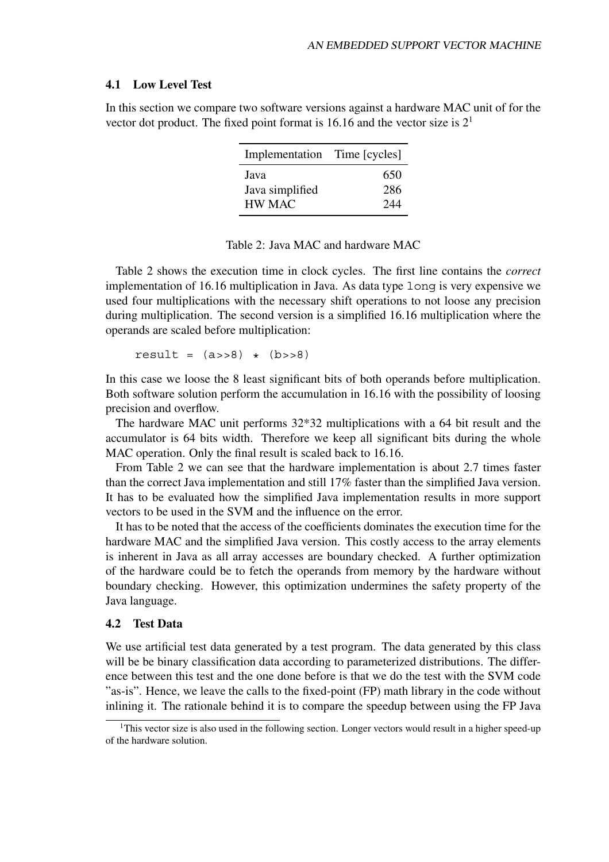#### **4.1 Low Level Test**

In this section we compare two software versions against a hardware MAC unit of for the vector dot product. The fixed point format is 16.16 and the vector size is  $2<sup>1</sup>$ 

| Implementation Time [cycles] |     |
|------------------------------|-----|
| Java                         | 650 |
| Java simplified              | 286 |
| HW MAC                       | 244 |

#### Table 2: Java MAC and hardware MAC

Table 2 shows the execution time in clock cycles. The first line contains the *correct* implementation of 16.16 multiplication in Java. As data type long is very expensive we used four multiplications with the necessary shift operations to not loose any precision during multiplication. The second version is a simplified 16.16 multiplication where the operands are scaled before multiplication:

result =  $(a \rightarrow 8)$  \*  $(b \rightarrow 8)$ 

In this case we loose the 8 least significant bits of both operands before multiplication. Both software solution perform the accumulation in 16.16 with the possibility of loosing precision and overflow.

The hardware MAC unit performs 32\*32 multiplications with a 64 bit result and the accumulator is 64 bits width. Therefore we keep all significant bits during the whole MAC operation. Only the final result is scaled back to 16.16.

From Table 2 we can see that the hardware implementation is about 2.7 times faster than the correct Java implementation and still 17% faster than the simplified Java version. It has to be evaluated how the simplified Java implementation results in more support vectors to be used in the SVM and the influence on the error.

It has to be noted that the access of the coefficients dominates the execution time for the hardware MAC and the simplified Java version. This costly access to the array elements is inherent in Java as all array accesses are boundary checked. A further optimization of the hardware could be to fetch the operands from memory by the hardware without boundary checking. However, this optimization undermines the safety property of the Java language.

#### **4.2 Test Data**

We use artificial test data generated by a test program. The data generated by this class will be be binary classification data according to parameterized distributions. The difference between this test and the one done before is that we do the test with the SVM code "as-is". Hence, we leave the calls to the fixed-point (FP) math library in the code without inlining it. The rationale behind it is to compare the speedup between using the FP Java

<sup>&</sup>lt;sup>1</sup>This vector size is also used in the following section. Longer vectors would result in a higher speed-up of the hardware solution.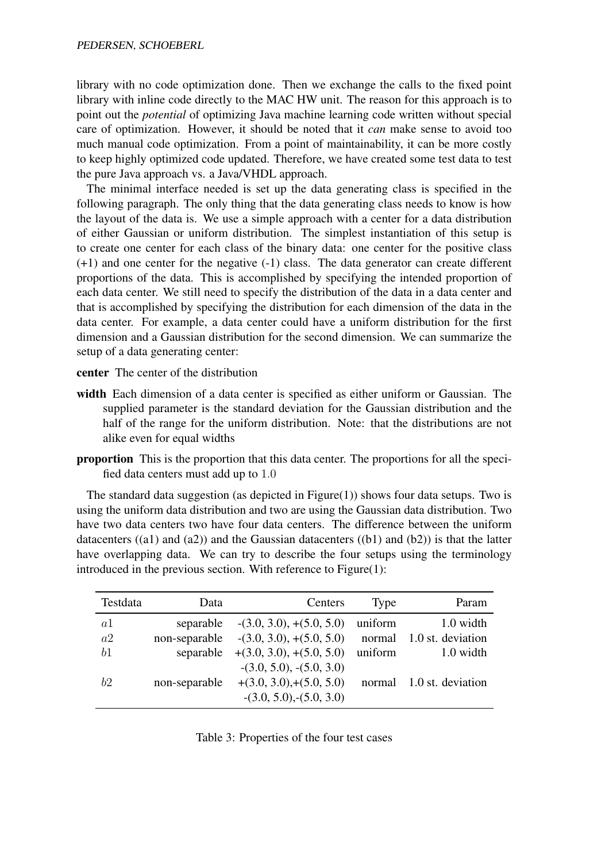library with no code optimization done. Then we exchange the calls to the fixed point library with inline code directly to the MAC HW unit. The reason for this approach is to point out the *potential* of optimizing Java machine learning code written without special care of optimization. However, it should be noted that it *can* make sense to avoid too much manual code optimization. From a point of maintainability, it can be more costly to keep highly optimized code updated. Therefore, we have created some test data to test the pure Java approach vs. a Java/VHDL approach.

The minimal interface needed is set up the data generating class is specified in the following paragraph. The only thing that the data generating class needs to know is how the layout of the data is. We use a simple approach with a center for a data distribution of either Gaussian or uniform distribution. The simplest instantiation of this setup is to create one center for each class of the binary data: one center for the positive class (+1) and one center for the negative (-1) class. The data generator can create different proportions of the data. This is accomplished by specifying the intended proportion of each data center. We still need to specify the distribution of the data in a data center and that is accomplished by specifying the distribution for each dimension of the data in the data center. For example, a data center could have a uniform distribution for the first dimension and a Gaussian distribution for the second dimension. We can summarize the setup of a data generating center:

- **center** The center of the distribution
- **width** Each dimension of a data center is specified as either uniform or Gaussian. The supplied parameter is the standard deviation for the Gaussian distribution and the half of the range for the uniform distribution. Note: that the distributions are not alike even for equal widths
- **proportion** This is the proportion that this data center. The proportions for all the specified data centers must add up to 1.0

The standard data suggestion (as depicted in  $Figure(1)$ ) shows four data setups. Two is using the uniform data distribution and two are using the Gaussian data distribution. Two have two data centers two have four data centers. The difference between the uniform datacenters  $((a1)$  and  $(a2))$  and the Gaussian datacenters  $((b1)$  and  $(b2))$  is that the latter have overlapping data. We can try to describe the four setups using the terminology introduced in the previous section. With reference to Figure(1):

| Testdata | Data          | Centers                                                 | Type    | Param             |
|----------|---------------|---------------------------------------------------------|---------|-------------------|
| a1       | separable     | $-(3.0, 3.0), + (5.0, 5.0)$                             | uniform | 1.0 width         |
| a2       | non-separable | $-(3.0, 3.0), +(5.0, 5.0)$                              | normal  | 1.0 st. deviation |
| b1       | separable     | $+(3.0, 3.0), +(5.0, 5.0)$                              | uniform | 1.0 width         |
| h2       | non-separable | $-(3.0, 5.0), -(5.0, 3.0)$<br>$+(3.0, 3.0),+(5.0, 5.0)$ | normal  | 1.0 st. deviation |
|          |               | $-(3.0, 5.0), (5.0, 3.0)$                               |         |                   |

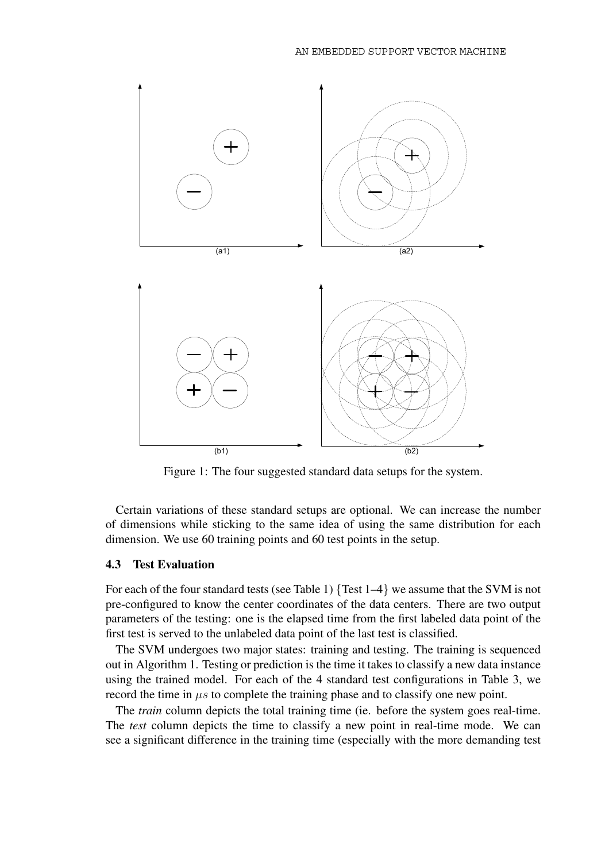

Figure 1: The four suggested standard data setups for the system.

Certain variations of these standard setups are optional. We can increase the number of dimensions while sticking to the same idea of using the same distribution for each dimension. We use 60 training points and 60 test points in the setup.

#### **4.3 Test Evaluation**

For each of the four standard tests (see Table 1) {Test 1–4} we assume that the SVM is not pre-configured to know the center coordinates of the data centers. There are two output parameters of the testing: one is the elapsed time from the first labeled data point of the first test is served to the unlabeled data point of the last test is classified.

The SVM undergoes two major states: training and testing. The training is sequenced out in Algorithm 1. Testing or prediction is the time it takes to classify a new data instance using the trained model. For each of the 4 standard test configurations in Table 3, we record the time in  $\mu$ s to complete the training phase and to classify one new point.

The *train* column depicts the total training time (ie. before the system goes real-time. The *test* column depicts the time to classify a new point in real-time mode. We can see a significant difference in the training time (especially with the more demanding test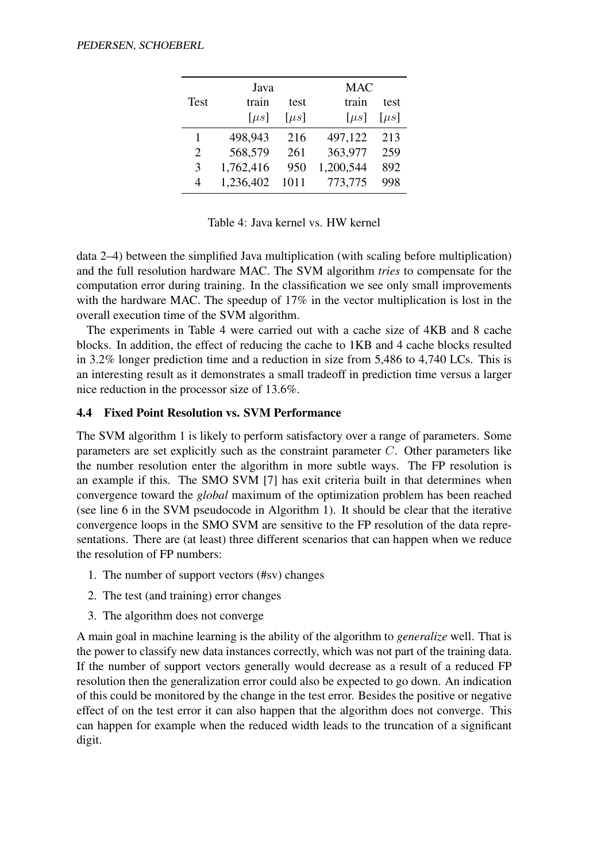|                             | Java      |           | <b>MAC</b> |           |
|-----------------------------|-----------|-----------|------------|-----------|
| Test                        | train     | test      | train      | test      |
|                             | $[\mu s]$ | $[\mu s]$ | $[\mu s]$  | $[\mu s]$ |
| 1                           | 498,943   | 216       | 497,122    | 213       |
| $\mathcal{D}_{\mathcal{L}}$ | 568,579   | 261       | 363,977    | 259       |
| $\mathcal{R}$               | 1,762,416 | 950       | 1,200,544  | 892       |
| $\overline{\mathcal{A}}$    | 1,236,402 | 1011      | 773,775    | 998       |

Table 4: Java kernel vs. HW kernel

data 2–4) between the simplified Java multiplication (with scaling before multiplication) and the full resolution hardware MAC. The SVM algorithm *tries* to compensate for the computation error during training. In the classification we see only small improvements with the hardware MAC. The speedup of 17% in the vector multiplication is lost in the overall execution time of the SVM algorithm.

The experiments in Table 4 were carried out with a cache size of 4KB and 8 cache blocks. In addition, the effect of reducing the cache to 1KB and 4 cache blocks resulted in 3.2% longer prediction time and a reduction in size from 5,486 to 4,740 LCs. This is an interesting result as it demonstrates a small tradeoff in prediction time versus a larger nice reduction in the processor size of 13.6%.

#### **4.4 Fixed Point Resolution vs. SVM Performance**

The SVM algorithm 1 is likely to perform satisfactory over a range of parameters. Some parameters are set explicitly such as the constraint parameter  $C$ . Other parameters like the number resolution enter the algorithm in more subtle ways. The FP resolution is an example if this. The SMO SVM [7] has exit criteria built in that determines when convergence toward the *global* maximum of the optimization problem has been reached (see line 6 in the SVM pseudocode in Algorithm 1). It should be clear that the iterative convergence loops in the SMO SVM are sensitive to the FP resolution of the data representations. There are (at least) three different scenarios that can happen when we reduce the resolution of FP numbers:

- 1. The number of support vectors (#sv) changes
- 2. The test (and training) error changes
- 3. The algorithm does not converge

A main goal in machine learning is the ability of the algorithm to *generalize* well. That is the power to classify new data instances correctly, which was not part of the training data. If the number of support vectors generally would decrease as a result of a reduced FP resolution then the generalization error could also be expected to go down. An indication of this could be monitored by the change in the test error. Besides the positive or negative effect of on the test error it can also happen that the algorithm does not converge. This can happen for example when the reduced width leads to the truncation of a significant digit.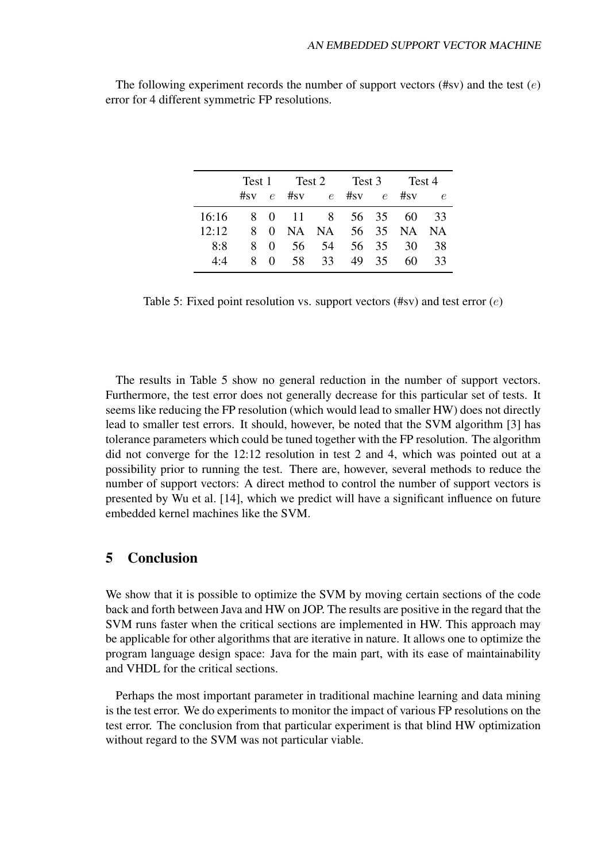|       |    |                  | Test 1 Test 2<br>Test 3 |                         | Test 4 |           |            |
|-------|----|------------------|-------------------------|-------------------------|--------|-----------|------------|
|       |    |                  |                         | #sv $e$ #sv $e$ #sv $e$ |        | $\#_{SV}$ | $\epsilon$ |
| 16:16 |    |                  |                         | 8 0 11 8 56 35 60 33    |        |           |            |
| 12:12 |    |                  |                         | 8 0 NA NA 56 35 NA NA   |        |           |            |
| 8.8   | 8. | $\left( \right)$ | 56 54                   |                         |        | 56 35 30  | 38         |
| 4.4   | 8. | $\Omega$         | 58 33                   |                         | 49 35  | 60.       | 33         |

The following experiment records the number of support vectors (#sv) and the test  $(e)$ error for 4 different symmetric FP resolutions.

Table 5: Fixed point resolution vs. support vectors  $(\# \text{sv})$  and test error  $(e)$ 

The results in Table 5 show no general reduction in the number of support vectors. Furthermore, the test error does not generally decrease for this particular set of tests. It seems like reducing the FP resolution (which would lead to smaller HW) does not directly lead to smaller test errors. It should, however, be noted that the SVM algorithm [3] has tolerance parameters which could be tuned together with the FP resolution. The algorithm did not converge for the 12:12 resolution in test 2 and 4, which was pointed out at a possibility prior to running the test. There are, however, several methods to reduce the number of support vectors: A direct method to control the number of support vectors is presented by Wu et al. [14], which we predict will have a significant influence on future embedded kernel machines like the SVM.

## **5 Conclusion**

We show that it is possible to optimize the SVM by moving certain sections of the code back and forth between Java and HW on JOP. The results are positive in the regard that the SVM runs faster when the critical sections are implemented in HW. This approach may be applicable for other algorithms that are iterative in nature. It allows one to optimize the program language design space: Java for the main part, with its ease of maintainability and VHDL for the critical sections.

Perhaps the most important parameter in traditional machine learning and data mining is the test error. We do experiments to monitor the impact of various FP resolutions on the test error. The conclusion from that particular experiment is that blind HW optimization without regard to the SVM was not particular viable.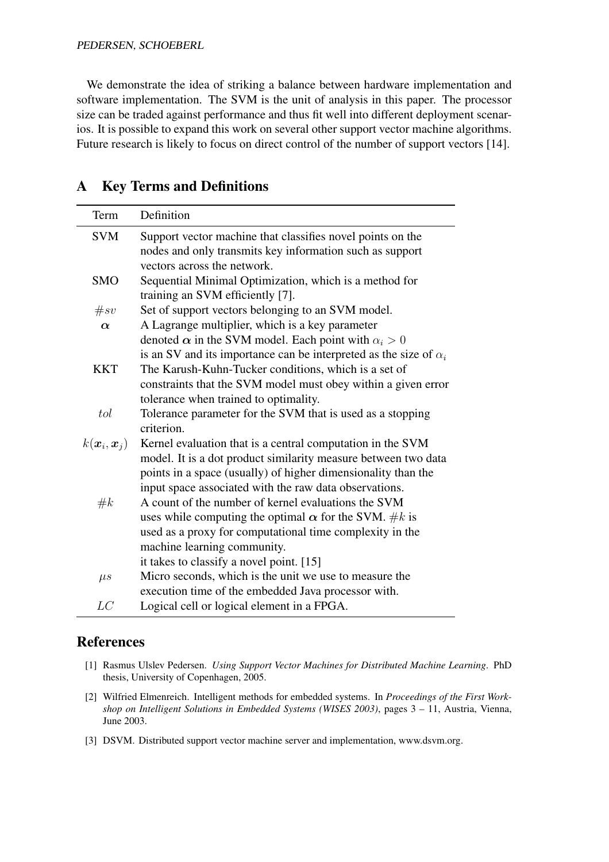PEDERSEN, SCHOEBERL

We demonstrate the idea of striking a balance between hardware implementation and software implementation. The SVM is the unit of analysis in this paper. The processor size can be traded against performance and thus fit well into different deployment scenarios. It is possible to expand this work on several other support vector machine algorithms. Future research is likely to focus on direct control of the number of support vectors [14].

| Term                                    | Definition                                                               |
|-----------------------------------------|--------------------------------------------------------------------------|
| <b>SVM</b>                              | Support vector machine that classifies novel points on the               |
|                                         | nodes and only transmits key information such as support                 |
|                                         | vectors across the network.                                              |
| <b>SMO</b>                              | Sequential Minimal Optimization, which is a method for                   |
|                                         | training an SVM efficiently [7].                                         |
| #sv                                     | Set of support vectors belonging to an SVM model.                        |
| $\alpha$                                | A Lagrange multiplier, which is a key parameter                          |
|                                         | denoted $\alpha$ in the SVM model. Each point with $\alpha_i > 0$        |
|                                         | is an SV and its importance can be interpreted as the size of $\alpha_i$ |
| <b>KKT</b>                              | The Karush-Kuhn-Tucker conditions, which is a set of                     |
|                                         | constraints that the SVM model must obey within a given error            |
|                                         | tolerance when trained to optimality.                                    |
| tol                                     | Tolerance parameter for the SVM that is used as a stopping               |
|                                         | criterion.                                                               |
| $k(\boldsymbol{x}_i, \boldsymbol{x}_j)$ | Kernel evaluation that is a central computation in the SVM               |
|                                         | model. It is a dot product similarity measure between two data           |
|                                         | points in a space (usually) of higher dimensionality than the            |
|                                         | input space associated with the raw data observations.                   |
| #k                                      | A count of the number of kernel evaluations the SVM                      |
|                                         | uses while computing the optimal $\alpha$ for the SVM. #k is             |
|                                         | used as a proxy for computational time complexity in the                 |
|                                         | machine learning community.                                              |
|                                         | it takes to classify a novel point. [15]                                 |
| $\mu s$                                 | Micro seconds, which is the unit we use to measure the                   |
|                                         | execution time of the embedded Java processor with.                      |
| LC                                      | Logical cell or logical element in a FPGA.                               |

## **A Key Terms and Definitions**

## **References**

- [1] Rasmus Ulslev Pedersen. *Using Support Vector Machines for Distributed Machine Learning*. PhD thesis, University of Copenhagen, 2005.
- [2] Wilfried Elmenreich. Intelligent methods for embedded systems. In *Proceedings of the First Workshop on Intelligent Solutions in Embedded Systems (WISES 2003)*, pages 3 – 11, Austria, Vienna, June 2003.
- [3] DSVM. Distributed support vector machine server and implementation, www.dsvm.org.